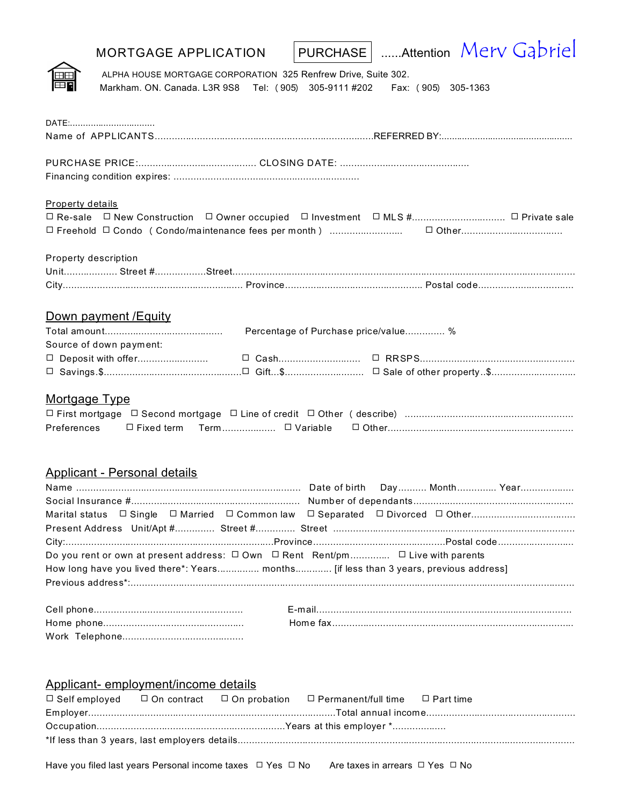| <b>MORTGAGE APPLICATION</b>                                                                                                                                                                          |                                      | PURCHASE   Attention Merv Gabriel |
|------------------------------------------------------------------------------------------------------------------------------------------------------------------------------------------------------|--------------------------------------|-----------------------------------|
| ALPHA HOUSE MORTGAGE CORPORATION 325 Renfrew Drive, Suite 302.<br>Markham. ON. Canada. L3R 9S8 Tel: (905) 305-9111 #202 Fax: (905) 305-1363                                                          |                                      |                                   |
| DATE:                                                                                                                                                                                                |                                      |                                   |
|                                                                                                                                                                                                      |                                      |                                   |
|                                                                                                                                                                                                      |                                      |                                   |
| <b>Property details</b><br>□ Re-sale □ New Construction □ Owner occupied □ Investment □ MLS # □ Private sale<br>□ Freehold □ Condo ( Condo/maintenance fees per month ) ……………………… □ Other…………………………… |                                      |                                   |
| Property description                                                                                                                                                                                 |                                      |                                   |
|                                                                                                                                                                                                      |                                      |                                   |
| Down payment / Equity                                                                                                                                                                                |                                      |                                   |
| Source of down payment:                                                                                                                                                                              | Percentage of Purchase price/value % |                                   |
|                                                                                                                                                                                                      |                                      |                                   |
| Mortgage Type<br>Preferences                                                                                                                                                                         |                                      |                                   |
| Applicant - Personal details                                                                                                                                                                         |                                      |                                   |
|                                                                                                                                                                                                      |                                      |                                   |
|                                                                                                                                                                                                      |                                      |                                   |
| Marital status                                                                                                                                                                                       |                                      |                                   |
|                                                                                                                                                                                                      |                                      |                                   |
| Do you rent or own at present address: $\Box$ Own $\Box$ Rent Rent/pm $\Box$ Live with parents<br>How long have you lived there*: Years months [if less than 3 years, previous address]              |                                      |                                   |
|                                                                                                                                                                                                      |                                      |                                   |
|                                                                                                                                                                                                      |                                      |                                   |
|                                                                                                                                                                                                      |                                      |                                   |

| Applicant-employment/income details |  |                                                                                                         |  |
|-------------------------------------|--|---------------------------------------------------------------------------------------------------------|--|
|                                     |  | $\Box$ Self employed $\Box$ On contract $\Box$ On probation $\Box$ Permanent/full time $\Box$ Part time |  |
|                                     |  |                                                                                                         |  |
|                                     |  |                                                                                                         |  |
|                                     |  |                                                                                                         |  |
|                                     |  |                                                                                                         |  |